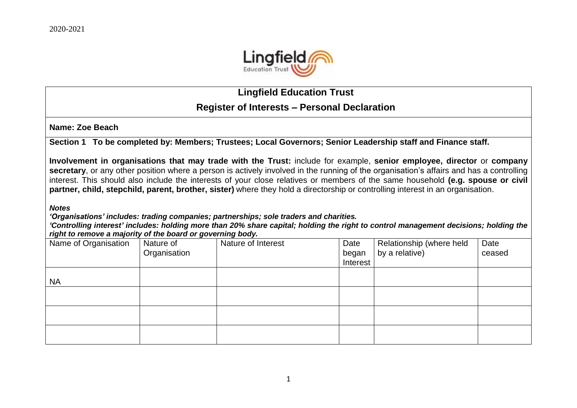

## **Lingfield Education Trust**

## **Register of Interests – Personal Declaration**

**Name: Zoe Beach**

**Section 1 To be completed by: Members; Trustees; Local Governors; Senior Leadership staff and Finance staff.**

**Involvement in organisations that may trade with the Trust:** include for example, **senior employee, director** or **company secretary**, or any other position where a person is actively involved in the running of the organisation's affairs and has a controlling interest. This should also include the interests of your close relatives or members of the same household **(e.g. spouse or civil partner, child, stepchild, parent, brother, sister)** where they hold a directorship or controlling interest in an organisation.

*Notes*

*'Organisations' includes: trading companies; partnerships; sole traders and charities.*

*'Controlling interest' includes: holding more than 20% share capital; holding the right to control management decisions; holding the right to remove a majority of the board or governing body.*

| Name of Organisation | Nature of<br>Organisation | Nature of Interest | Date<br>began<br>Interest | Relationship (where held<br>by a relative) | Date<br>ceased |
|----------------------|---------------------------|--------------------|---------------------------|--------------------------------------------|----------------|
| <b>NA</b>            |                           |                    |                           |                                            |                |
|                      |                           |                    |                           |                                            |                |
|                      |                           |                    |                           |                                            |                |
|                      |                           |                    |                           |                                            |                |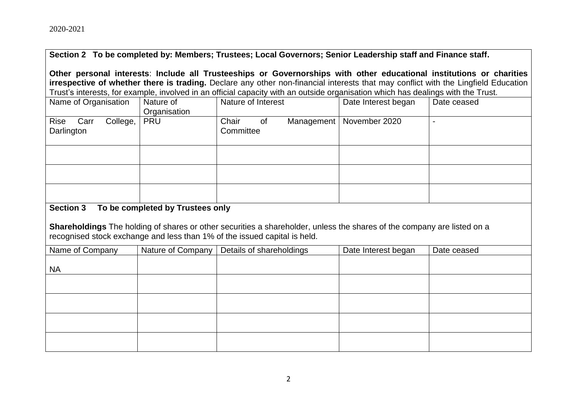**Section 2 To be completed by: Members; Trustees; Local Governors; Senior Leadership staff and Finance staff.**

**Other personal interests**: **Include all Trusteeships or Governorships with other educational institutions or charities irrespective of whether there is trading.** Declare any other non-financial interests that may conflict with the Lingfield Education Trust's interests, for example, involved in an official capacity with an outside organisation which has dealings with the Trust.

| Name of Organisation                  | Nature of<br>Organisation | Nature of Interest                       | Date Interest began | Date ceased |
|---------------------------------------|---------------------------|------------------------------------------|---------------------|-------------|
| Rise Carr<br>College, I<br>Darlington | <b>PRU</b>                | Chair<br>Management  <br>of<br>Committee | November 2020       |             |
|                                       |                           |                                          |                     |             |
|                                       |                           |                                          |                     |             |
|                                       |                           |                                          |                     |             |

## **Section 3 To be completed by Trustees only**

**Shareholdings** The holding of shares or other securities a shareholder, unless the shares of the company are listed on a recognised stock exchange and less than 1% of the issued capital is held.

| Name of Company | Nature of Company | Details of shareholdings | Date Interest began | Date ceased |
|-----------------|-------------------|--------------------------|---------------------|-------------|
|                 |                   |                          |                     |             |
| <b>NA</b>       |                   |                          |                     |             |
|                 |                   |                          |                     |             |
|                 |                   |                          |                     |             |
|                 |                   |                          |                     |             |
|                 |                   |                          |                     |             |
|                 |                   |                          |                     |             |
|                 |                   |                          |                     |             |
|                 |                   |                          |                     |             |
|                 |                   |                          |                     |             |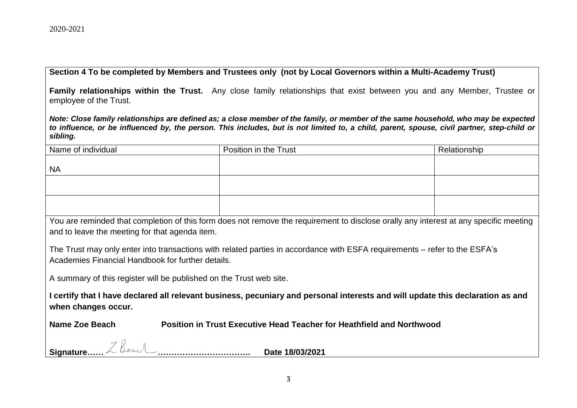**Section 4 To be completed by Members and Trustees only (not by Local Governors within a Multi-Academy Trust)**

**Family relationships within the Trust.** Any close family relationships that exist between you and any Member, Trustee or employee of the Trust.

*Note: Close family relationships are defined as; a close member of the family, or member of the same household, who may be expected to influence, or be influenced by, the person. This includes, but is not limited to, a child, parent, spouse, civil partner, step-child or sibling.*

| Name of individual                                                                                                                                                                      | Position in the Trust                                                 | Relationship |  |  |
|-----------------------------------------------------------------------------------------------------------------------------------------------------------------------------------------|-----------------------------------------------------------------------|--------------|--|--|
| <b>NA</b>                                                                                                                                                                               |                                                                       |              |  |  |
|                                                                                                                                                                                         |                                                                       |              |  |  |
|                                                                                                                                                                                         |                                                                       |              |  |  |
| You are reminded that completion of this form does not remove the requirement to disclose orally any interest at any specific meeting<br>and to leave the meeting for that agenda item. |                                                                       |              |  |  |
| The Trust may only enter into transactions with related parties in accordance with ESFA requirements – refer to the ESFA's<br>Academies Financial Handbook for further details.         |                                                                       |              |  |  |
| A summary of this register will be published on the Trust web site.                                                                                                                     |                                                                       |              |  |  |
| l certify that I have declared all relevant business, pecuniary and personal interests and will update this declaration as and<br>when changes occur.                                   |                                                                       |              |  |  |
| Name Zoe Beach                                                                                                                                                                          | Position in Trust Executive Head Teacher for Heathfield and Northwood |              |  |  |
| Signature Z Beach                                                                                                                                                                       | Date 18/03/2021                                                       |              |  |  |